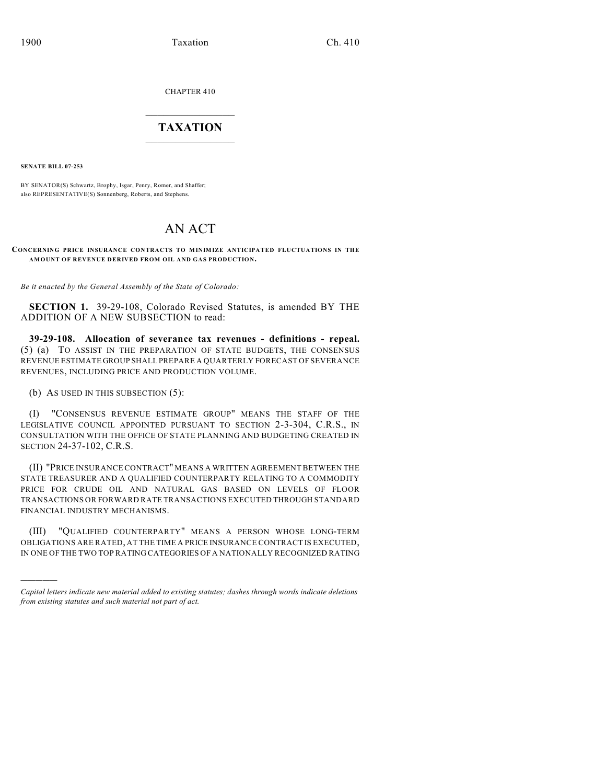CHAPTER 410

## $\mathcal{L}_\text{max}$  . The set of the set of the set of the set of the set of the set of the set of the set of the set of the set of the set of the set of the set of the set of the set of the set of the set of the set of the set **TAXATION**  $\_$

**SENATE BILL 07-253**

)))))

BY SENATOR(S) Schwartz, Brophy, Isgar, Penry, Romer, and Shaffer; also REPRESENTATIVE(S) Sonnenberg, Roberts, and Stephens.

## AN ACT

## **CONCERNING PRICE INSURANCE CONTRACTS TO MINIMIZE ANTICIPATED FLUCTUATIONS IN THE AMOUNT OF REVENUE DERIVED FROM OIL AND GAS PRODUCTION.**

*Be it enacted by the General Assembly of the State of Colorado:*

**SECTION 1.** 39-29-108, Colorado Revised Statutes, is amended BY THE ADDITION OF A NEW SUBSECTION to read:

**39-29-108. Allocation of severance tax revenues - definitions - repeal.** (5) (a) TO ASSIST IN THE PREPARATION OF STATE BUDGETS, THE CONSENSUS REVENUE ESTIMATE GROUP SHALL PREPARE A QUARTERLY FORECAST OF SEVERANCE REVENUES, INCLUDING PRICE AND PRODUCTION VOLUME.

(b) AS USED IN THIS SUBSECTION (5):

(I) "CONSENSUS REVENUE ESTIMATE GROUP" MEANS THE STAFF OF THE LEGISLATIVE COUNCIL APPOINTED PURSUANT TO SECTION 2-3-304, C.R.S., IN CONSULTATION WITH THE OFFICE OF STATE PLANNING AND BUDGETING CREATED IN SECTION 24-37-102, C.R.S.

(II) "PRICE INSURANCE CONTRACT" MEANS A WRITTEN AGREEMENT BETWEEN THE STATE TREASURER AND A QUALIFIED COUNTERPARTY RELATING TO A COMMODITY PRICE FOR CRUDE OIL AND NATURAL GAS BASED ON LEVELS OF FLOOR TRANSACTIONS OR FORWARD RATE TRANSACTIONS EXECUTED THROUGH STANDARD FINANCIAL INDUSTRY MECHANISMS.

(III) "QUALIFIED COUNTERPARTY" MEANS A PERSON WHOSE LONG-TERM OBLIGATIONS ARE RATED, AT THE TIME A PRICE INSURANCE CONTRACT IS EXECUTED, IN ONE OF THE TWO TOP RATING CATEGORIES OF A NATIONALLY RECOGNIZED RATING

*Capital letters indicate new material added to existing statutes; dashes through words indicate deletions from existing statutes and such material not part of act.*